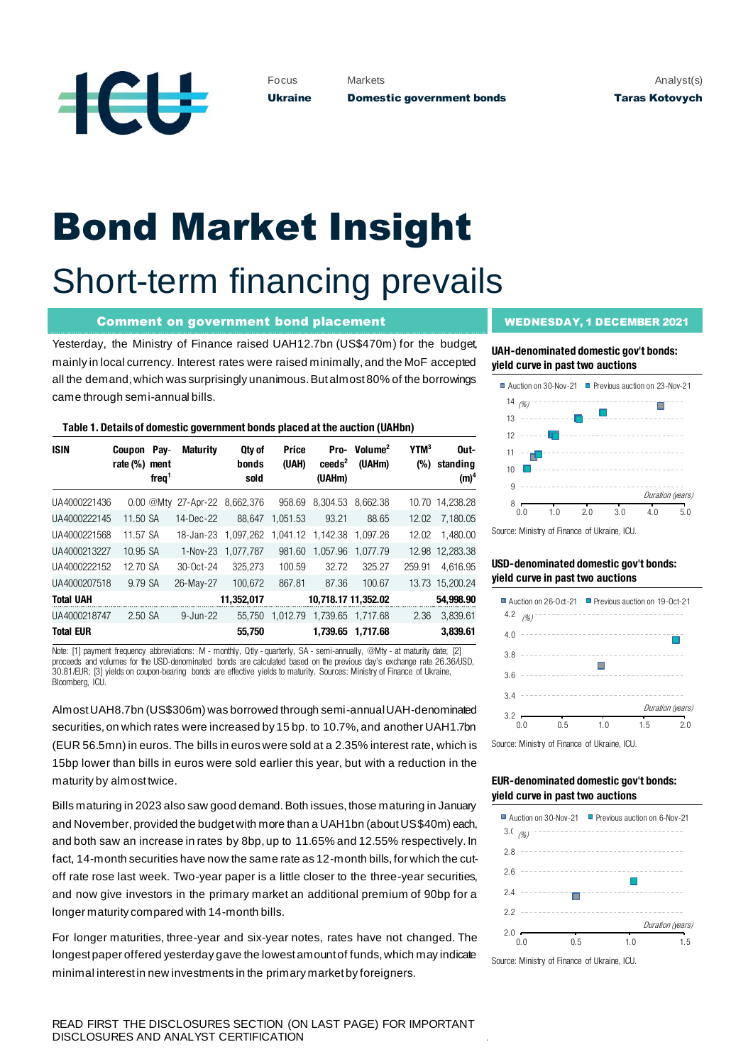

| <b>Ukraine</b> | <b>Domestic government bonds</b> | <b>Taras Kotovych</b> |
|----------------|----------------------------------|-----------------------|
| Focus          | Markets                          | Analyst(s)            |

# Bond Market Insight Short-term financing prevails

# Comment on government bond placement

Yesterday, the Ministry of Finance raised UAH12.7bn (US\$470m) for the budget, mainly in local currency. Interest rates were raised minimally, and the MoF accepted all the demand, which was surprisingly unanimous. But almost 80% of the borrowings came through semi-annual bills.

#### Table 1. Details of domestic government bonds placed at the auction (UAHbn)

| <b>ISIN</b>      | Coupon<br>rate (%) ment | Pav-<br>freq <sup>1</sup> | Maturity                        | Qty of<br>bonds<br>sold | <b>Price</b><br>(UAH) | $\text{ceeds}^2$<br>(UAHm) | Pro- Volume <sup>2</sup><br>(UAHm) | YTM <sup>3</sup><br>(%) | Out-<br>standing<br>$(m)^4$ |
|------------------|-------------------------|---------------------------|---------------------------------|-------------------------|-----------------------|----------------------------|------------------------------------|-------------------------|-----------------------------|
| UA4000221436     |                         |                           | $0.00$ @Mty 27-Apr-22 8,662,376 |                         | 958.69                | 8,304.53 8,662.38          |                                    |                         | 10.70 14,238.28             |
| UA4000222145     | 11.50 SA                |                           | 14-Dec-22                       | 88.647                  | 1.051.53              | 93.21                      | 88.65                              | 12.02                   | 7.180.05                    |
| UA4000221568     | 11.57 SA                |                           | 18-Jan-23                       | 1.097.262               | 1.041.12              | 1,142.38                   | 1.097.26                           | 12.02                   | 1.480.00                    |
| UA4000213227     | $10.95$ SA              |                           | $1-Nov-23$                      | 1,077,787               | 981.60                | 1.057.96                   | 1.077.79                           |                         | 12.98 12,283.38             |
| UA4000222152     | 12.70 SA                |                           | 30-0ct-24                       | 325.273                 | 100.59                | 32.72                      | 325.27                             | 259.91                  | 4.616.95                    |
| UA4000207518     | 9.79 SA                 |                           | 26-May-27                       | 100.672                 | 867.81                | 87.36                      | 100.67                             |                         | 13.73 15.200.24             |
| <b>Total UAH</b> |                         |                           |                                 | 11,352,017              |                       | 10,718.17 11,352.02        |                                    |                         | 54,998.90                   |
| UA4000218747     | 2.50 SA                 |                           | 9-Jun-22                        | 55.750                  | 1.012.79              | 1,739.65 1,717.68          |                                    | 2.36                    | 3,839.61                    |
| <b>Total EUR</b> |                         |                           |                                 | 55,750                  |                       | 1,739.65                   | 1,717.68                           |                         | 3,839.61                    |

Note: [1] payment frequency abbreviations: M - monthly, Qtly - quarterly, SA - semi-annually, @Mty - at maturity date; [2] proceeds and volumes for the USD-denominated bonds are calculated based on the previous day's exchange rate 26.36/USD, 30.81/EUR; [3] yields on coupon-bearing bonds are effective yields to maturity. Sources: Ministry of Finance of Ukraine, Bloomberg, ICU.

Almost UAH8.7bn (US\$306m) was borrowed through semi-annual UAH-denominated securities, on which rates were increased by 15 bp. to 10.7%, and another UAH1.7bn (EUR 56.5mn) in euros. The bills in euros were sold at a 2.35% interest rate, which is 15bp lower than bills in euros were sold earlier this year, but with a reduction in the maturity by almost twice.

Bills maturing in 2023 also saw good demand. Both issues, those maturing in January and November, provided the budget with more than a UAH1bn (about US\$40m) each, and both saw an increase in rates by 8bp, up to 11.65% and 12.55% respectively. In fact, 14-month securities have now the same rate as 12-month bills, for which the cutoff rate rose last week. Two-year paper is a little closer to the three-year securities, and now give investors in the primary market an additional premium of 90bp for a longer maturity compared with 14-month bills.

For longer maturities, three-year and six-year notes, rates have not changed. The longest paper offered yesterday gave the lowest amount of funds, which may indicate minimal interest in new investments in the primary market by foreigners.

## WEDNESDAY, 1 DECEMBER 2021

## UAH-denominated domestic gov't bonds: yield curve in past two auctions



#### Source: Ministry of Finance of Ukraine, ICU.

# USD-denominated domestic gov't bonds: yield curve in past two auctions



Source: Ministry of Finance of Ukraine, ICU.

# EUR-denominated domestic gov't bonds: yield curve in past two auctions



Source: Ministry of Finance of Ukraine, ICU.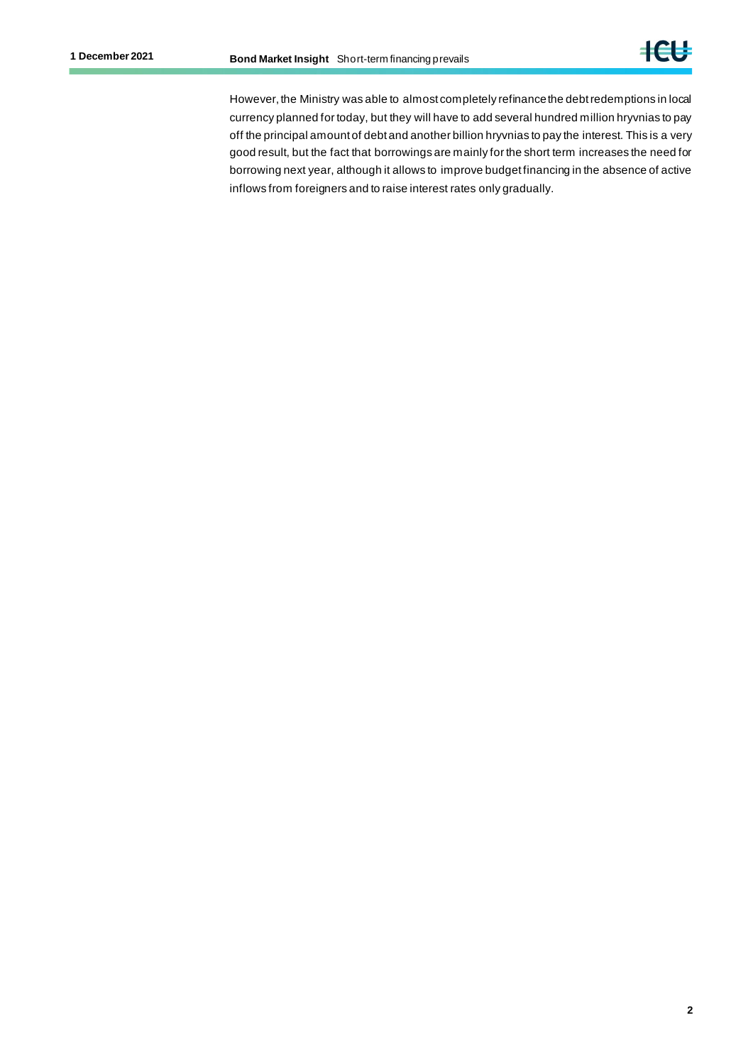However, the Ministry was able to almost completely refinance the debt redemptions in local currency planned for today, but they will have to add several hundred million hryvnias to pay off the principal amount of debt and another billion hryvnias to pay the interest. This is a very good result, but the fact that borrowings are mainly for the short term increases the need for borrowing next year, although it allows to improve budget financing in the absence of active inflows from foreigners and to raise interest rates only gradually.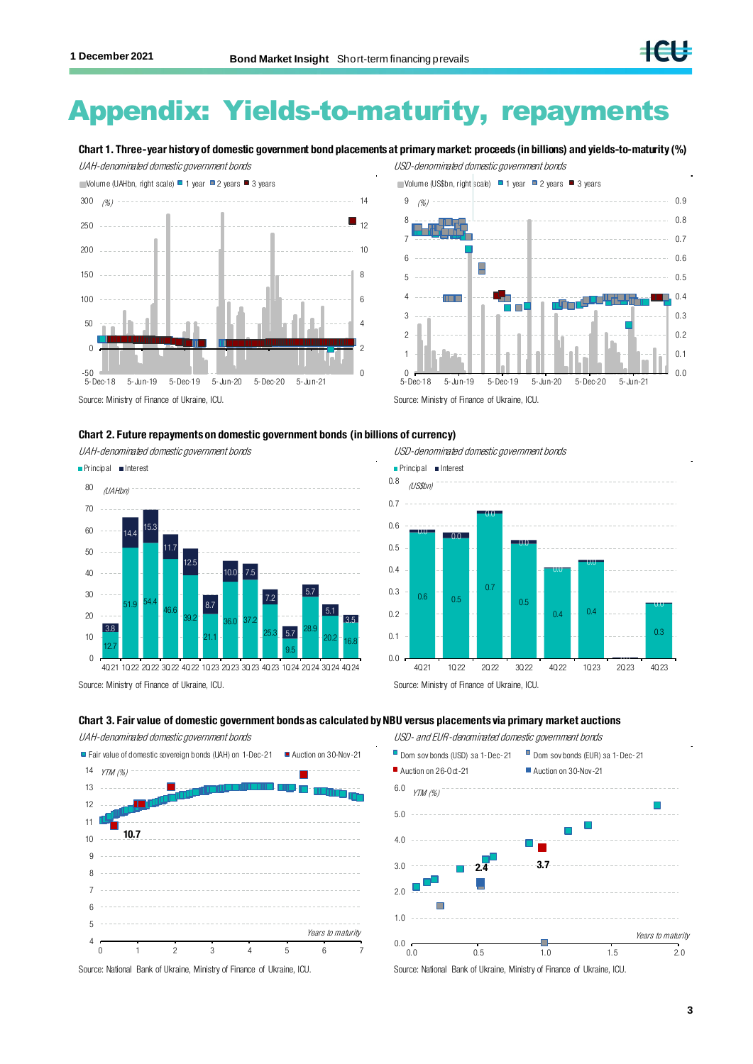# Appendix: Yields-to-maturity, repayments

Chart 1. Three-year history of domestic government bond placements at primary market: proceeds (in billions) and yields-to-maturity (%)





# Chart 2. Future repayments on domestic government bonds (in billions of currency)

12.7 51.9 54.4 46.6 39.2 21.1 36.0 37.2 25.3 9.5 28.9  $20.2 - 16.8$ 3.8 ر<br>14.4 15.3 11.7 12.5 8.7  $10<sub>0</sub>$ 7.2 5.7 5.7 5.1 3.5  $\Omega$ 10 20 30 40 50 60 70 80 (UAHbn) **Principal** Interest

4Q21 1Q22 2Q22 3Q22 4Q22 1Q23 2Q23 3Q23 4Q23 1Q24 2Q24 3Q24 4Q24

UAH-denominated domestic government bonds USD-denominated domestic government bonds



Source: Ministry of Finance of Ukraine, ICU. Source: Ministry of Finance of Ukraine, ICU.

## Chart 3. Fair value of domestic government bonds as calculated by NBU versus placements via primary market auctions

10.7 4 5 6 7 8 9 10 11 12 13 14  $YTM(%)$ 0 1 2 3 4 5 6 7 Years to maturity ■ Fair value of domestic sovereign bonds (UAH) on 1-Dec-21 ■ Auction on 30-Nov-21

Source: National Bank of Ukraine, Ministry of Finance of Ukraine, ICU. Source: National Bank of Ukraine, Ministry of Finance of Ukraine, ICU.

UAH-denominated domestic government bonds USD- and EUR-denominated domestic government bonds

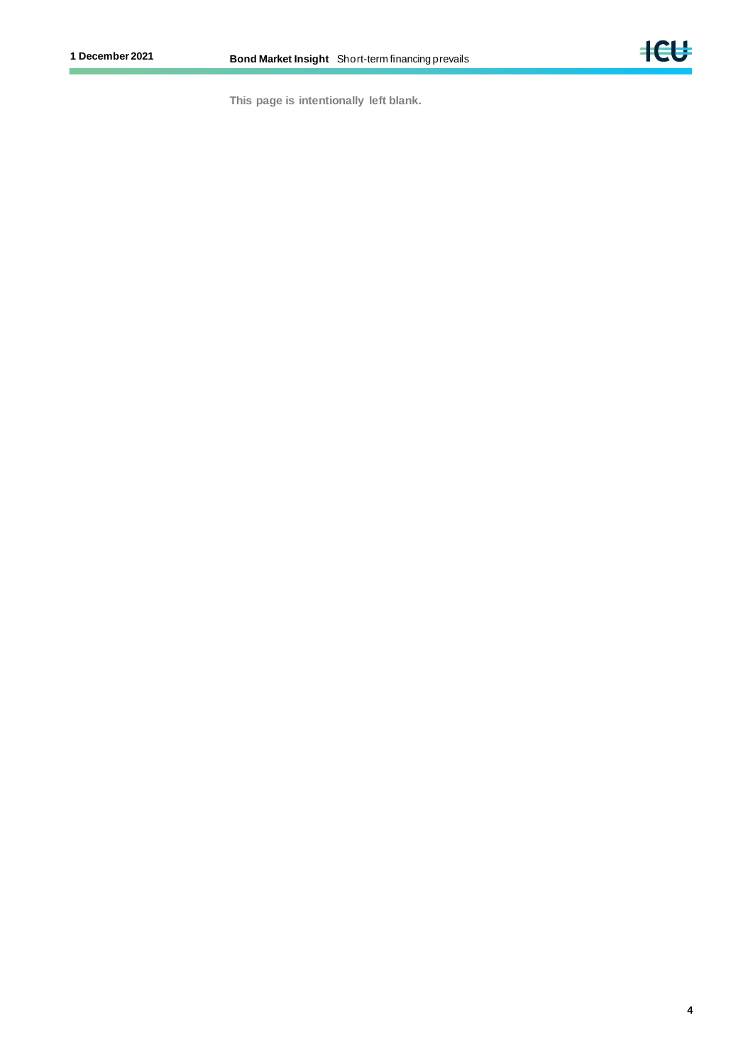**This page is intentionally left blank.**